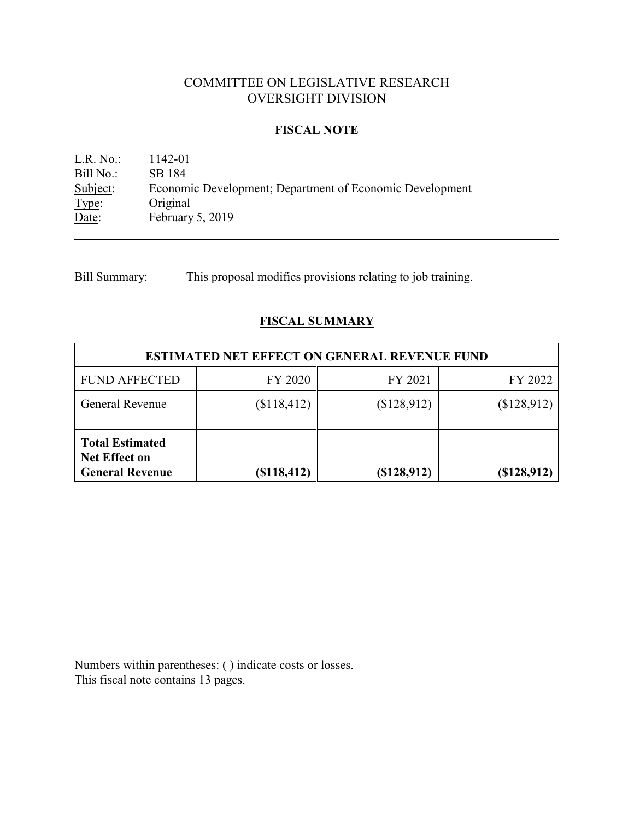## COMMITTEE ON LEGISLATIVE RESEARCH OVERSIGHT DIVISION

### **FISCAL NOTE**

L.R. No.: 1142-01 Bill No.: SB 184<br>Subject: Econom Economic Development; Department of Economic Development Type: Original Date: February 5, 2019

Bill Summary: This proposal modifies provisions relating to job training.

## **FISCAL SUMMARY**

| <b>ESTIMATED NET EFFECT ON GENERAL REVENUE FUND</b>                      |             |             |             |  |
|--------------------------------------------------------------------------|-------------|-------------|-------------|--|
| <b>FUND AFFECTED</b>                                                     | FY 2020     | FY 2021     | FY 2022     |  |
| General Revenue                                                          | \$118,412)  | (\$128,912) | (\$128,912) |  |
| <b>Total Estimated</b><br><b>Net Effect on</b><br><b>General Revenue</b> | (\$118,412) | (\$128,912) | (\$128,912) |  |

Numbers within parentheses: ( ) indicate costs or losses. This fiscal note contains 13 pages.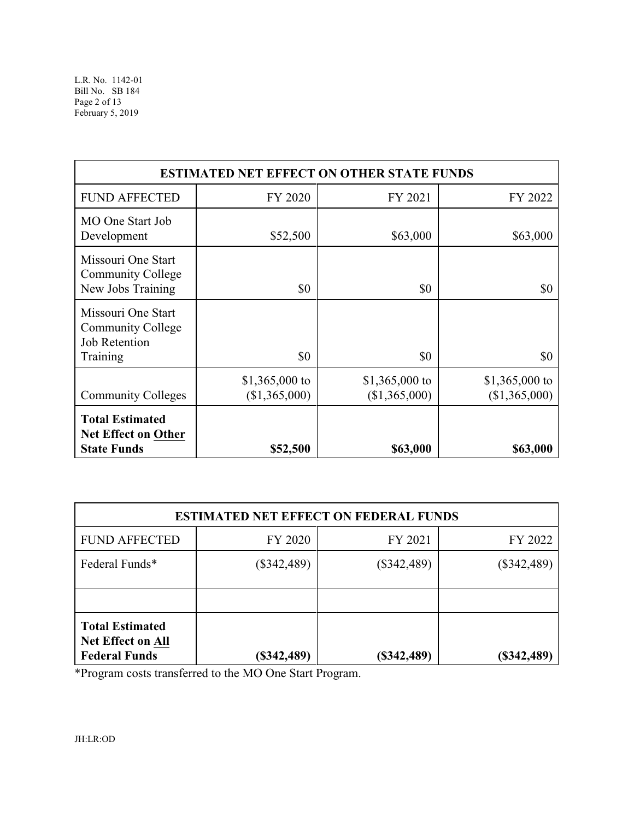| <b>ESTIMATED NET EFFECT ON OTHER STATE FUNDS</b>                                   |                                 |                                 |                                 |  |
|------------------------------------------------------------------------------------|---------------------------------|---------------------------------|---------------------------------|--|
| <b>FUND AFFECTED</b>                                                               | FY 2020                         | FY 2021                         | FY 2022                         |  |
| MO One Start Job<br>Development                                                    | \$52,500                        | \$63,000                        | \$63,000                        |  |
| Missouri One Start<br><b>Community College</b><br>New Jobs Training                | \$0                             | \$0                             | \$0                             |  |
| Missouri One Start<br><b>Community College</b><br><b>Job Retention</b><br>Training | \$0                             | \$0                             | \$0                             |  |
| <b>Community Colleges</b>                                                          | \$1,365,000 to<br>(\$1,365,000) | \$1,365,000 to<br>(\$1,365,000) | \$1,365,000 to<br>(\$1,365,000) |  |
| <b>Total Estimated</b><br><b>Net Effect on Other</b><br><b>State Funds</b>         | \$52,500                        | \$63,000                        | \$63,000                        |  |

| <b>ESTIMATED NET EFFECT ON FEDERAL FUNDS</b>                               |               |               |               |  |
|----------------------------------------------------------------------------|---------------|---------------|---------------|--|
| <b>FUND AFFECTED</b>                                                       | FY 2020       | FY 2021       | FY 2022       |  |
| Federal Funds*                                                             | $(\$342,489)$ | $(\$342,489)$ | $(\$342,489)$ |  |
|                                                                            |               |               |               |  |
| <b>Total Estimated</b><br><b>Net Effect on All</b><br><b>Federal Funds</b> | $(\$342,489)$ | $(*342,489)$  | (\$342,489)   |  |

\*Program costs transferred to the MO One Start Program.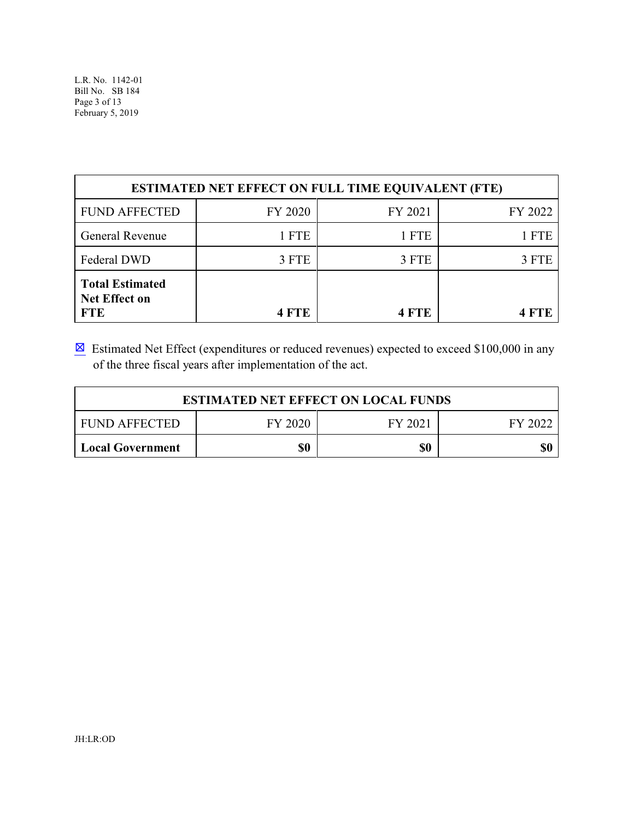| <b>ESTIMATED NET EFFECT ON FULL TIME EQUIVALENT (FTE)</b>    |         |            |         |  |
|--------------------------------------------------------------|---------|------------|---------|--|
| <b>FUND AFFECTED</b>                                         | FY 2020 | FY 2021    | FY 2022 |  |
| General Revenue                                              | 1 FTE   | 1 FTE      | 1 FTE   |  |
| Federal DWD                                                  | 3 FTE   | 3 FTE      | 3 FTE   |  |
| <b>Total Estimated</b><br><b>Net Effect on</b><br><b>FTE</b> | 4 FTE   | <b>FTE</b> |         |  |

 $\boxtimes$  Estimated Net Effect (expenditures or reduced revenues) expected to exceed \$100,000 in any of the three fiscal years after implementation of the act.

| <b>ESTIMATED NET EFFECT ON LOCAL FUNDS</b>            |  |  |  |  |  |
|-------------------------------------------------------|--|--|--|--|--|
| FY 2020<br><b>FUND AFFECTED</b><br>FY 2021<br>FY 2022 |  |  |  |  |  |
| \$0<br>\$0<br><b>Local Government</b>                 |  |  |  |  |  |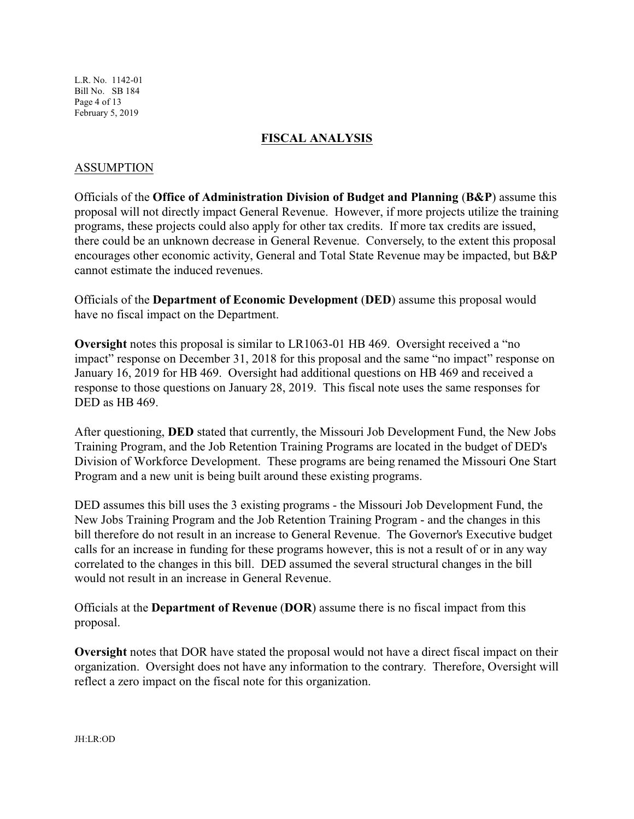L.R. No. 1142-01 Bill No. SB 184 Page 4 of 13 February 5, 2019

#### **FISCAL ANALYSIS**

#### ASSUMPTION

Officials of the **Office of Administration Division of Budget and Planning** (**B&P**) assume this proposal will not directly impact General Revenue. However, if more projects utilize the training programs, these projects could also apply for other tax credits. If more tax credits are issued, there could be an unknown decrease in General Revenue. Conversely, to the extent this proposal encourages other economic activity, General and Total State Revenue may be impacted, but B&P cannot estimate the induced revenues.

Officials of the **Department of Economic Development** (**DED**) assume this proposal would have no fiscal impact on the Department.

**Oversight** notes this proposal is similar to LR1063-01 HB 469. Oversight received a "no impact" response on December 31, 2018 for this proposal and the same "no impact" response on January 16, 2019 for HB 469. Oversight had additional questions on HB 469 and received a response to those questions on January 28, 2019. This fiscal note uses the same responses for DED as HB 469.

After questioning, **DED** stated that currently, the Missouri Job Development Fund, the New Jobs Training Program, and the Job Retention Training Programs are located in the budget of DED's Division of Workforce Development. These programs are being renamed the Missouri One Start Program and a new unit is being built around these existing programs.

DED assumes this bill uses the 3 existing programs - the Missouri Job Development Fund, the New Jobs Training Program and the Job Retention Training Program - and the changes in this bill therefore do not result in an increase to General Revenue. The Governor's Executive budget calls for an increase in funding for these programs however, this is not a result of or in any way correlated to the changes in this bill. DED assumed the several structural changes in the bill would not result in an increase in General Revenue.

Officials at the **Department of Revenue** (**DOR**) assume there is no fiscal impact from this proposal.

**Oversight** notes that DOR have stated the proposal would not have a direct fiscal impact on their organization. Oversight does not have any information to the contrary. Therefore, Oversight will reflect a zero impact on the fiscal note for this organization.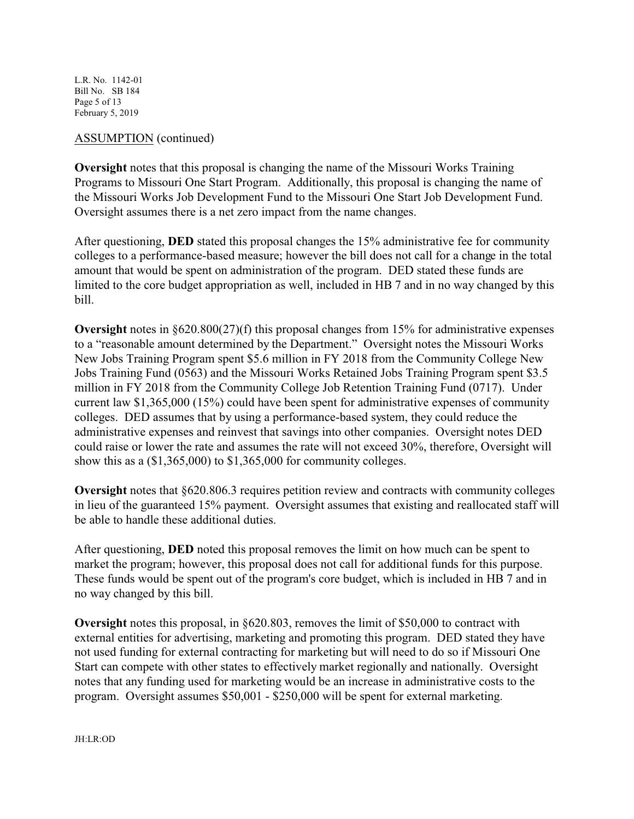L.R. No. 1142-01 Bill No. SB 184 Page 5 of 13 February 5, 2019

#### ASSUMPTION (continued)

**Oversight** notes that this proposal is changing the name of the Missouri Works Training Programs to Missouri One Start Program. Additionally, this proposal is changing the name of the Missouri Works Job Development Fund to the Missouri One Start Job Development Fund. Oversight assumes there is a net zero impact from the name changes.

After questioning, **DED** stated this proposal changes the 15% administrative fee for community colleges to a performance-based measure; however the bill does not call for a change in the total amount that would be spent on administration of the program. DED stated these funds are limited to the core budget appropriation as well, included in HB 7 and in no way changed by this bill.

**Oversight** notes in §620.800(27)(f) this proposal changes from 15% for administrative expenses to a "reasonable amount determined by the Department." Oversight notes the Missouri Works New Jobs Training Program spent \$5.6 million in FY 2018 from the Community College New Jobs Training Fund (0563) and the Missouri Works Retained Jobs Training Program spent \$3.5 million in FY 2018 from the Community College Job Retention Training Fund (0717). Under current law \$1,365,000 (15%) could have been spent for administrative expenses of community colleges. DED assumes that by using a performance-based system, they could reduce the administrative expenses and reinvest that savings into other companies. Oversight notes DED could raise or lower the rate and assumes the rate will not exceed 30%, therefore, Oversight will show this as a (\$1,365,000) to \$1,365,000 for community colleges.

**Oversight** notes that §620.806.3 requires petition review and contracts with community colleges in lieu of the guaranteed 15% payment. Oversight assumes that existing and reallocated staff will be able to handle these additional duties.

After questioning, **DED** noted this proposal removes the limit on how much can be spent to market the program; however, this proposal does not call for additional funds for this purpose. These funds would be spent out of the program's core budget, which is included in HB 7 and in no way changed by this bill.

**Oversight** notes this proposal, in §620.803, removes the limit of \$50,000 to contract with external entities for advertising, marketing and promoting this program. DED stated they have not used funding for external contracting for marketing but will need to do so if Missouri One Start can compete with other states to effectively market regionally and nationally. Oversight notes that any funding used for marketing would be an increase in administrative costs to the program. Oversight assumes \$50,001 - \$250,000 will be spent for external marketing.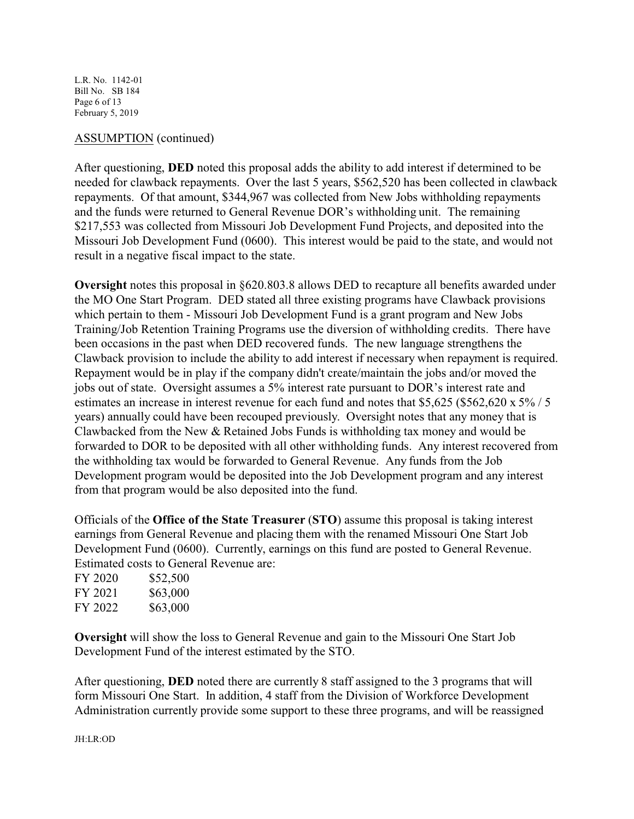L.R. No. 1142-01 Bill No. SB 184 Page 6 of 13 February 5, 2019

#### ASSUMPTION (continued)

After questioning, **DED** noted this proposal adds the ability to add interest if determined to be needed for clawback repayments. Over the last 5 years, \$562,520 has been collected in clawback repayments. Of that amount, \$344,967 was collected from New Jobs withholding repayments and the funds were returned to General Revenue DOR's withholding unit. The remaining \$217,553 was collected from Missouri Job Development Fund Projects, and deposited into the Missouri Job Development Fund (0600). This interest would be paid to the state, and would not result in a negative fiscal impact to the state.

**Oversight** notes this proposal in §620.803.8 allows DED to recapture all benefits awarded under the MO One Start Program. DED stated all three existing programs have Clawback provisions which pertain to them - Missouri Job Development Fund is a grant program and New Jobs Training/Job Retention Training Programs use the diversion of withholding credits. There have been occasions in the past when DED recovered funds. The new language strengthens the Clawback provision to include the ability to add interest if necessary when repayment is required. Repayment would be in play if the company didn't create/maintain the jobs and/or moved the jobs out of state. Oversight assumes a 5% interest rate pursuant to DOR's interest rate and estimates an increase in interest revenue for each fund and notes that \$5,625 (\$562,620 x 5% / 5 years) annually could have been recouped previously. Oversight notes that any money that is Clawbacked from the New & Retained Jobs Funds is withholding tax money and would be forwarded to DOR to be deposited with all other withholding funds. Any interest recovered from the withholding tax would be forwarded to General Revenue. Any funds from the Job Development program would be deposited into the Job Development program and any interest from that program would be also deposited into the fund.

Officials of the **Office of the State Treasurer** (**STO**) assume this proposal is taking interest earnings from General Revenue and placing them with the renamed Missouri One Start Job Development Fund (0600). Currently, earnings on this fund are posted to General Revenue. Estimated costs to General Revenue are:

| FY 2020 | \$52,500 |
|---------|----------|
| FY 2021 | \$63,000 |
| FY 2022 | \$63,000 |

**Oversight** will show the loss to General Revenue and gain to the Missouri One Start Job Development Fund of the interest estimated by the STO.

After questioning, **DED** noted there are currently 8 staff assigned to the 3 programs that will form Missouri One Start. In addition, 4 staff from the Division of Workforce Development Administration currently provide some support to these three programs, and will be reassigned

JH:LR:OD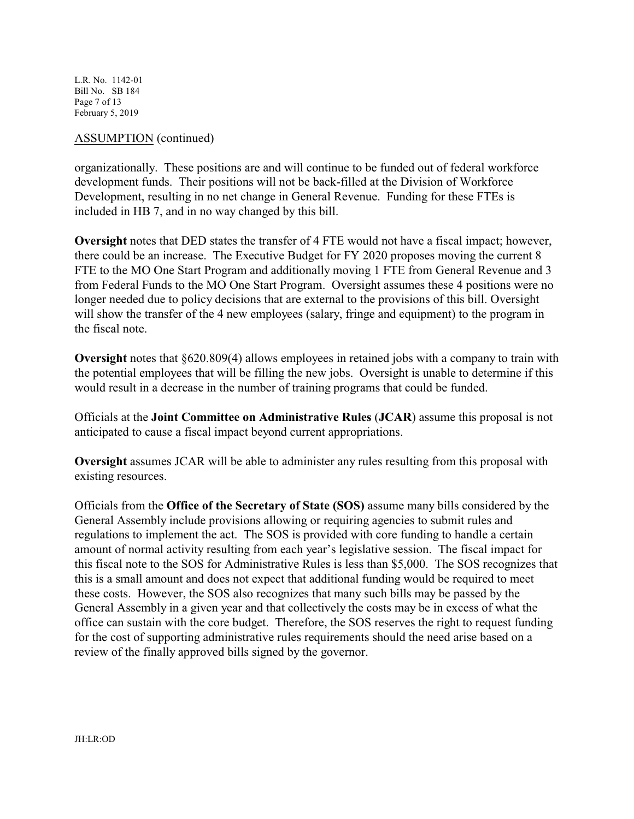L.R. No. 1142-01 Bill No. SB 184 Page 7 of 13 February 5, 2019

#### ASSUMPTION (continued)

organizationally. These positions are and will continue to be funded out of federal workforce development funds. Their positions will not be back-filled at the Division of Workforce Development, resulting in no net change in General Revenue. Funding for these FTEs is included in HB 7, and in no way changed by this bill.

**Oversight** notes that DED states the transfer of 4 FTE would not have a fiscal impact; however, there could be an increase. The Executive Budget for FY 2020 proposes moving the current 8 FTE to the MO One Start Program and additionally moving 1 FTE from General Revenue and 3 from Federal Funds to the MO One Start Program. Oversight assumes these 4 positions were no longer needed due to policy decisions that are external to the provisions of this bill. Oversight will show the transfer of the 4 new employees (salary, fringe and equipment) to the program in the fiscal note.

**Oversight** notes that §620.809(4) allows employees in retained jobs with a company to train with the potential employees that will be filling the new jobs. Oversight is unable to determine if this would result in a decrease in the number of training programs that could be funded.

Officials at the **Joint Committee on Administrative Rules** (**JCAR**) assume this proposal is not anticipated to cause a fiscal impact beyond current appropriations.

**Oversight** assumes JCAR will be able to administer any rules resulting from this proposal with existing resources.

Officials from the **Office of the Secretary of State (SOS)** assume many bills considered by the General Assembly include provisions allowing or requiring agencies to submit rules and regulations to implement the act. The SOS is provided with core funding to handle a certain amount of normal activity resulting from each year's legislative session. The fiscal impact for this fiscal note to the SOS for Administrative Rules is less than \$5,000. The SOS recognizes that this is a small amount and does not expect that additional funding would be required to meet these costs. However, the SOS also recognizes that many such bills may be passed by the General Assembly in a given year and that collectively the costs may be in excess of what the office can sustain with the core budget. Therefore, the SOS reserves the right to request funding for the cost of supporting administrative rules requirements should the need arise based on a review of the finally approved bills signed by the governor.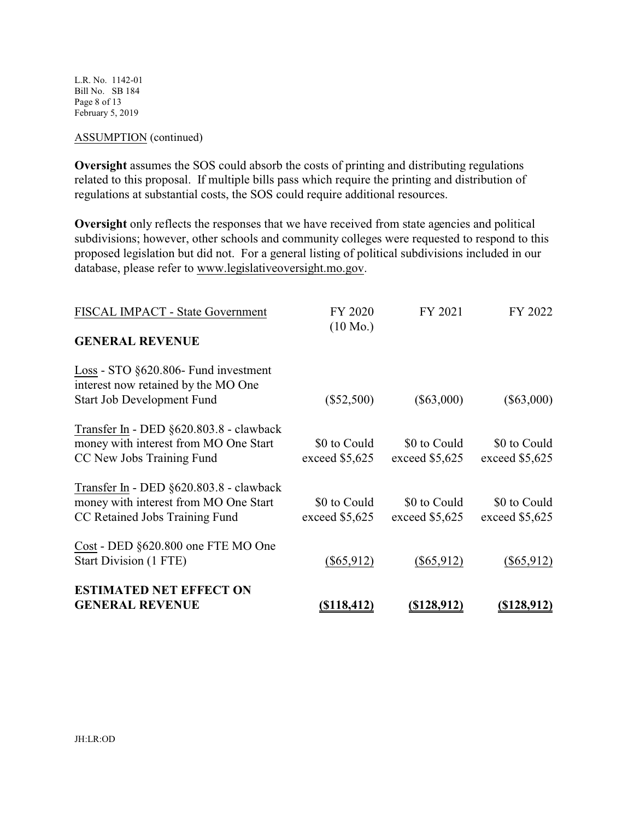L.R. No. 1142-01 Bill No. SB 184 Page 8 of 13 February 5, 2019

#### ASSUMPTION (continued)

**Oversight** assumes the SOS could absorb the costs of printing and distributing regulations related to this proposal. If multiple bills pass which require the printing and distribution of regulations at substantial costs, the SOS could require additional resources.

**Oversight** only reflects the responses that we have received from state agencies and political subdivisions; however, other schools and community colleges were requested to respond to this proposed legislation but did not. For a general listing of political subdivisions included in our database, please refer to www.legislativeoversight.mo.gov.

| FISCAL IMPACT - State Government                                                                                   | FY 2020<br>$(10 \text{ Mo.})$   | FY 2021                         | FY 2022                        |
|--------------------------------------------------------------------------------------------------------------------|---------------------------------|---------------------------------|--------------------------------|
| <b>GENERAL REVENUE</b>                                                                                             |                                 |                                 |                                |
| Loss - STO §620.806- Fund investment<br>interest now retained by the MO One<br><b>Start Job Development Fund</b>   | $(\$52,500)$                    | $(\$63,000)$                    | $(\$63,000)$                   |
| Transfer In - DED §620.803.8 - clawback<br>money with interest from MO One Start<br>CC New Jobs Training Fund      | \$0 to Could<br>exceed \$5,625  | \$0 to Could<br>exceed $$5,625$ | \$0 to Could<br>exceed \$5,625 |
| Transfer In - DED §620.803.8 - clawback<br>money with interest from MO One Start<br>CC Retained Jobs Training Fund | \$0 to Could<br>exceed $$5,625$ | \$0 to Could<br>exceed $$5,625$ | \$0 to Could<br>exceed \$5,625 |
| Cost - DED §620.800 one FTE MO One<br>Start Division (1 FTE)                                                       | $(\$65,912)$                    | $(\$65,912)$                    | $(\$65,912)$                   |
| <b>ESTIMATED NET EFFECT ON</b><br><b>GENERAL REVENUE</b>                                                           | <u>(\$118,412)</u>              | $($ \$128,912)                  | <u>(\$128,912)</u>             |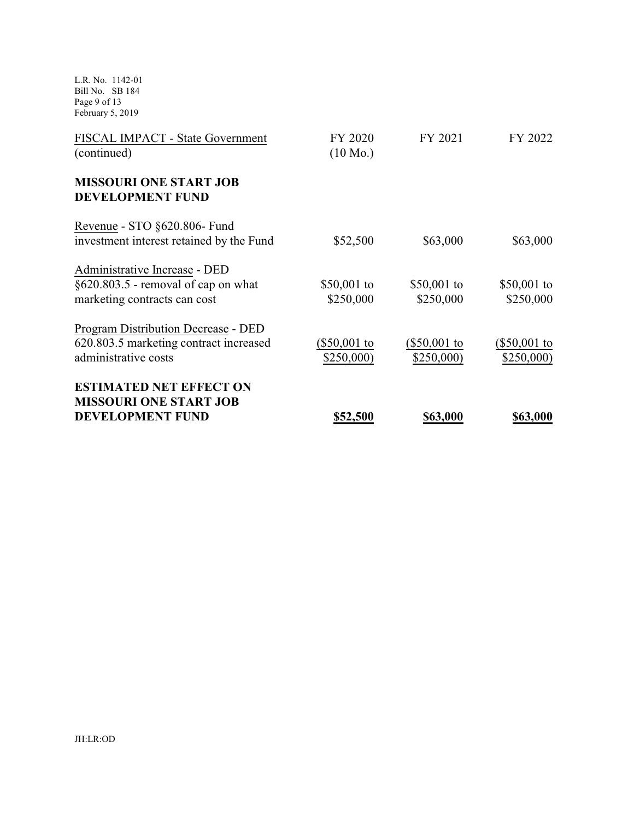L.R. No. 1142-01 Bill No. SB 184 Page 9 of 13 February 5, 2019

| FISCAL IMPACT - State Government                         | FY 2020            | FY 2021        | FY 2022      |
|----------------------------------------------------------|--------------------|----------------|--------------|
| (continued)                                              | $(10 \text{ Mo.})$ |                |              |
| <b>MISSOURI ONE START JOB</b><br><b>DEVELOPMENT FUND</b> |                    |                |              |
| Revenue - STO §620.806- Fund                             |                    |                |              |
| investment interest retained by the Fund                 | \$52,500           | \$63,000       | \$63,000     |
| Administrative Increase - DED                            |                    |                |              |
| $\S620.803.5$ - removal of cap on what                   | \$50,001 to        | \$50,001 to    | \$50,001 to  |
| marketing contracts can cost                             | \$250,000          | \$250,000      | \$250,000    |
| Program Distribution Decrease - DED                      |                    |                |              |
| 620.803.5 marketing contract increased                   | $(\$50,001$ to     | $(\$50,001$ to | (\$50,001 to |
| administrative costs                                     | \$250,000)         | \$250,000      | \$250,000    |
| <b>ESTIMATED NET EFFECT ON</b>                           |                    |                |              |
| <b>MISSOURI ONE START JOB</b>                            |                    |                |              |
| <b>DEVELOPMENT FUND</b>                                  | \$52,500           | \$63,000       | \$63,000     |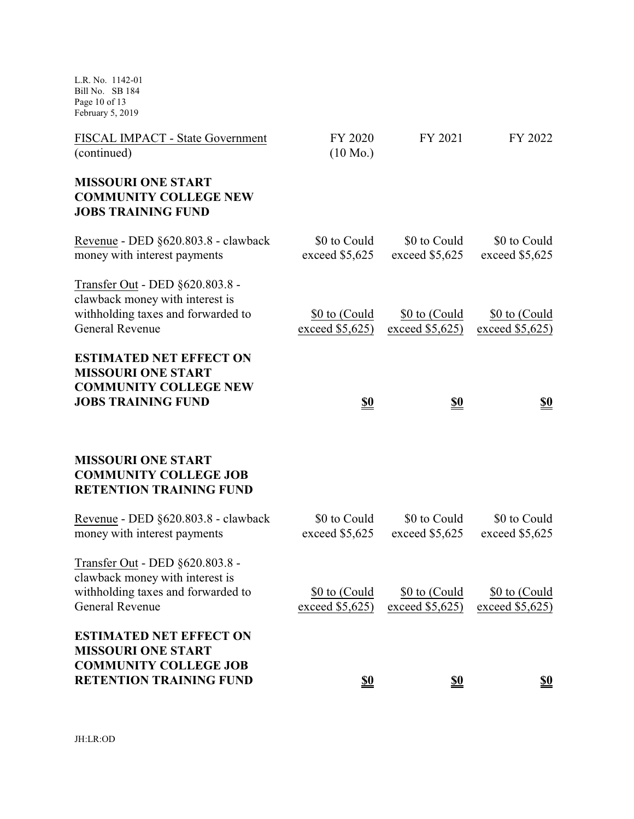L.R. No. 1142-01 Bill No. SB 184 Page 10 of 13 February 5, 2019

| FISCAL IMPACT - State Government<br>(continued)                                                                                    | FY 2020<br>$(10 \text{ Mo.})$    | FY 2021                            | FY 2022                          |
|------------------------------------------------------------------------------------------------------------------------------------|----------------------------------|------------------------------------|----------------------------------|
| <b>MISSOURI ONE START</b><br><b>COMMUNITY COLLEGE NEW</b><br><b>JOBS TRAINING FUND</b>                                             |                                  |                                    |                                  |
| Revenue - DED §620.803.8 - clawback<br>money with interest payments                                                                | \$0 to Could<br>exceed \$5,625   | \$0 to Could<br>exceed \$5,625     | \$0 to Could<br>exceed \$5,625   |
| Transfer Out - DED §620.803.8 -<br>clawback money with interest is<br>withholding taxes and forwarded to<br><b>General Revenue</b> | \$0 to (Could<br>exceed $$5,625$ | \$0 to (Could<br>exceed $$5,625$ ) | \$0 to (Could<br>exceed \$5,625  |
| <b>ESTIMATED NET EFFECT ON</b><br><b>MISSOURI ONE START</b>                                                                        |                                  |                                    |                                  |
| <b>COMMUNITY COLLEGE NEW</b><br><b>JOBS TRAINING FUND</b>                                                                          | <u>\$0</u>                       | <u>\$0</u>                         | <u>\$0</u>                       |
| <b>MISSOURI ONE START</b><br><b>COMMUNITY COLLEGE JOB</b><br><b>RETENTION TRAINING FUND</b>                                        |                                  |                                    |                                  |
| Revenue - DED §620.803.8 - clawback<br>money with interest payments                                                                | \$0 to Could<br>exceed \$5,625   | \$0 to Could<br>exceed \$5,625     | \$0 to Could<br>exceed $$5,625$  |
| Transfer Out - DED §620.803.8 -<br>clawback money with interest is<br>withholding taxes and forwarded to<br>General Revenue        | \$0 to (Could<br>exceed $$5,625$ | \$0 to (Could<br>exceed $$5,625$   | \$0 to (Could<br>exceed $$5,625$ |
| <b>ESTIMATED NET EFFECT ON</b><br><b>MISSOURI ONE START</b><br><b>COMMUNITY COLLEGE JOB</b><br><b>RETENTION TRAINING FUND</b>      | S <sub>0</sub>                   | <u>\$0</u>                         | <u>\$0</u>                       |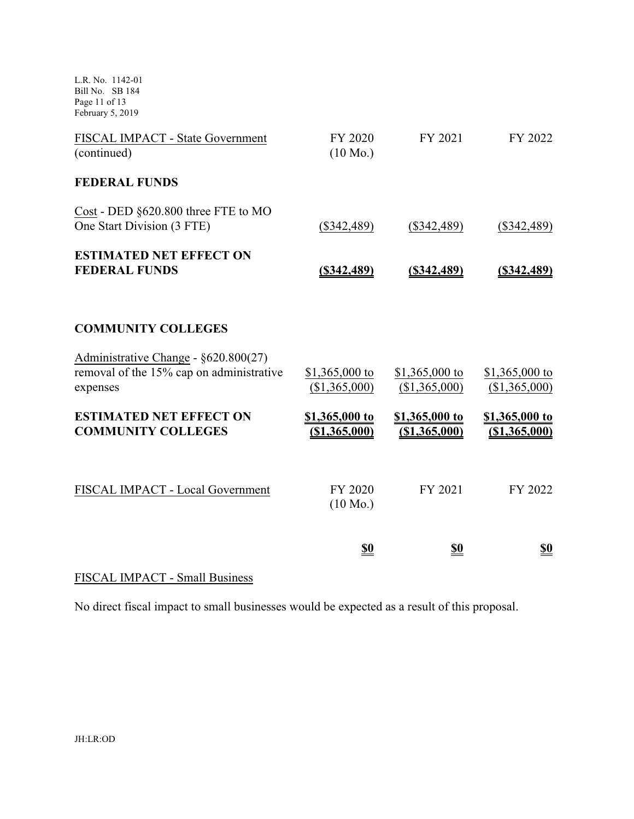L.R. No. 1142-01 Bill No. SB 184 Page 11 of 13 February 5, 2019

| FISCAL IMPACT - State Government<br>(continued)                                              | FY 2020<br>$(10 \text{ Mo.})$    | FY 2021                          | FY 2022                         |
|----------------------------------------------------------------------------------------------|----------------------------------|----------------------------------|---------------------------------|
| <b>FEDERAL FUNDS</b>                                                                         |                                  |                                  |                                 |
| Cost - DED §620.800 three FTE to MO<br>One Start Division (3 FTE)                            | $(\$342,489)$                    | $(\$342,489)$                    | $(\$342,489)$                   |
| <b>ESTIMATED NET EFFECT ON</b><br><b>FEDERAL FUNDS</b>                                       | $($ \$342,489)                   | $($ \$342,489)                   | (\$342,489)                     |
| <b>COMMUNITY COLLEGES</b>                                                                    |                                  |                                  |                                 |
| Administrative Change - §620.800(27)<br>removal of the 15% cap on administrative<br>expenses | \$1,365,000 to<br>(\$1,365,000)  | \$1,365,000 to<br>(\$1,365,000)  | \$1,365,000 to<br>(\$1,365,000) |
| <b>ESTIMATED NET EFFECT ON</b><br><b>COMMUNITY COLLEGES</b>                                  | \$1,365,000 to<br>( \$1,365,000) | \$1,365,000 to<br>( \$1,365,000) | \$1,365,000 to<br>(\$1,365,000) |
| FISCAL IMPACT - Local Government                                                             | FY 2020<br>$(10 \text{ Mo.})$    | FY 2021                          | FY 2022                         |
|                                                                                              | <u>\$0</u>                       | <u>\$0</u>                       | <u>\$0</u>                      |

# FISCAL IMPACT - Small Business

No direct fiscal impact to small businesses would be expected as a result of this proposal.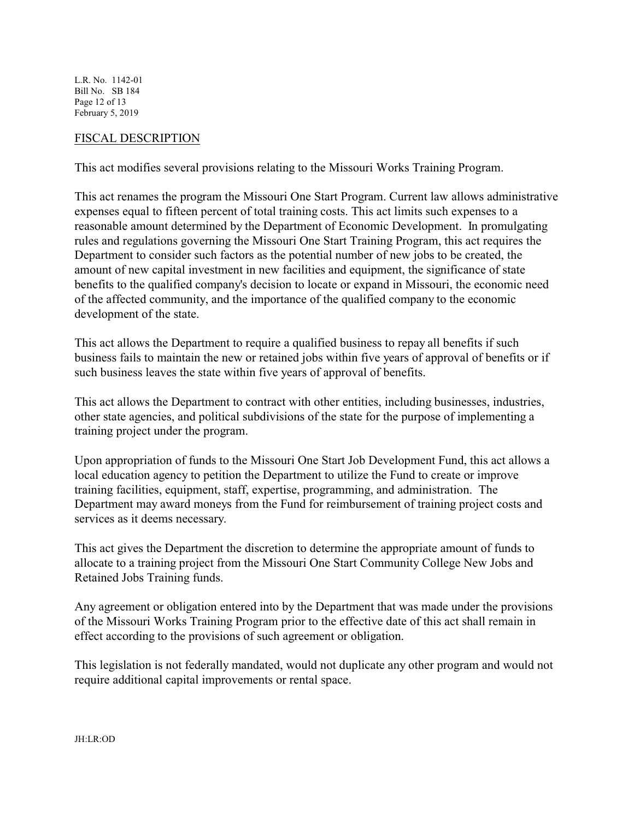L.R. No. 1142-01 Bill No. SB 184 Page 12 of 13 February 5, 2019

#### FISCAL DESCRIPTION

This act modifies several provisions relating to the Missouri Works Training Program.

This act renames the program the Missouri One Start Program. Current law allows administrative expenses equal to fifteen percent of total training costs. This act limits such expenses to a reasonable amount determined by the Department of Economic Development. In promulgating rules and regulations governing the Missouri One Start Training Program, this act requires the Department to consider such factors as the potential number of new jobs to be created, the amount of new capital investment in new facilities and equipment, the significance of state benefits to the qualified company's decision to locate or expand in Missouri, the economic need of the affected community, and the importance of the qualified company to the economic development of the state.

This act allows the Department to require a qualified business to repay all benefits if such business fails to maintain the new or retained jobs within five years of approval of benefits or if such business leaves the state within five years of approval of benefits.

This act allows the Department to contract with other entities, including businesses, industries, other state agencies, and political subdivisions of the state for the purpose of implementing a training project under the program.

Upon appropriation of funds to the Missouri One Start Job Development Fund, this act allows a local education agency to petition the Department to utilize the Fund to create or improve training facilities, equipment, staff, expertise, programming, and administration. The Department may award moneys from the Fund for reimbursement of training project costs and services as it deems necessary.

This act gives the Department the discretion to determine the appropriate amount of funds to allocate to a training project from the Missouri One Start Community College New Jobs and Retained Jobs Training funds.

Any agreement or obligation entered into by the Department that was made under the provisions of the Missouri Works Training Program prior to the effective date of this act shall remain in effect according to the provisions of such agreement or obligation.

This legislation is not federally mandated, would not duplicate any other program and would not require additional capital improvements or rental space.